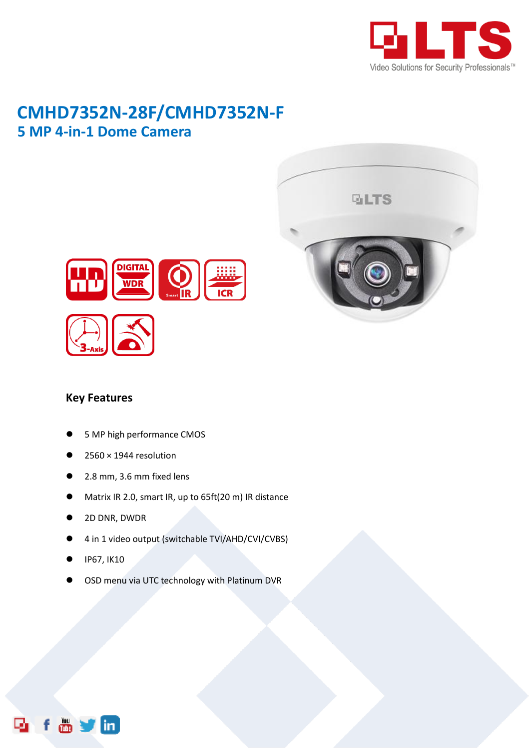

## **CMHD7352N-28F/CMHD7352N-F 5 MP 4-in-1 Dome Camera**





## **Key Features**

- 5 MP high performance CMOS
- $2560 \times 1944$  resolution
- 2.8 mm, 3.6 mm fixed lens
- Matrix IR 2.0, smart IR, up to 65ft(20 m) IR distance
- 2D DNR, DWDR
- 4 in 1 video output (switchable TVI/AHD/CVI/CVBS)
- IP67, IK10
- OSD menu via UTC technology with Platinum DVR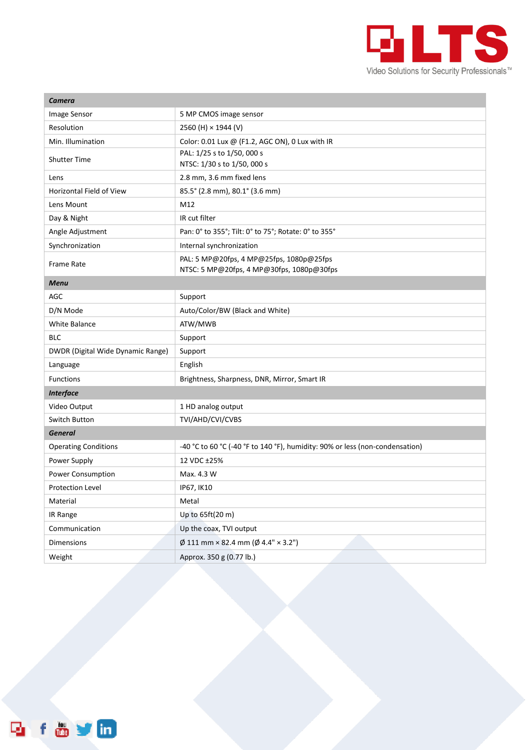

| Camera                            |                                                                                       |
|-----------------------------------|---------------------------------------------------------------------------------------|
| Image Sensor                      | 5 MP CMOS image sensor                                                                |
| Resolution                        | 2560 (H) × 1944 (V)                                                                   |
| Min. Illumination                 | Color: 0.01 Lux @ (F1.2, AGC ON), 0 Lux with IR                                       |
| <b>Shutter Time</b>               | PAL: 1/25 s to 1/50, 000 s<br>NTSC: 1/30 s to 1/50, 000 s                             |
| Lens                              | 2.8 mm, 3.6 mm fixed lens                                                             |
| Horizontal Field of View          | 85.5° (2.8 mm), 80.1° (3.6 mm)                                                        |
| Lens Mount                        | M12                                                                                   |
| Day & Night                       | IR cut filter                                                                         |
| Angle Adjustment                  | Pan: 0° to 355°; Tilt: 0° to 75°; Rotate: 0° to 355°                                  |
| Synchronization                   | Internal synchronization                                                              |
| Frame Rate                        | PAL: 5 MP@20fps, 4 MP@25fps, 1080p@25fps<br>NTSC: 5 MP@20fps, 4 MP@30fps, 1080p@30fps |
| <b>Menu</b>                       |                                                                                       |
| AGC                               | Support                                                                               |
| D/N Mode                          | Auto/Color/BW (Black and White)                                                       |
| <b>White Balance</b>              | ATW/MWB                                                                               |
| <b>BLC</b>                        | Support                                                                               |
| DWDR (Digital Wide Dynamic Range) | Support                                                                               |
| Language                          | English                                                                               |
| Functions                         | Brightness, Sharpness, DNR, Mirror, Smart IR                                          |
| <b>Interface</b>                  |                                                                                       |
| Video Output                      | 1 HD analog output                                                                    |
| Switch Button                     | TVI/AHD/CVI/CVBS                                                                      |
| <b>General</b>                    |                                                                                       |
| <b>Operating Conditions</b>       | -40 °C to 60 °C (-40 °F to 140 °F), humidity: 90% or less (non-condensation)          |
| Power Supply                      | 12 VDC ±25%                                                                           |
| Power Consumption                 | Max. 4.3 W                                                                            |
| <b>Protection Level</b>           | IP67, IK10                                                                            |
| Material                          | Metal                                                                                 |
| IR Range                          | Up to 65ft(20 m)                                                                      |
| Communication                     | Up the coax, TVI output                                                               |
| Dimensions                        | $\emptyset$ 111 mm × 82.4 mm ( $\emptyset$ 4.4" × 3.2")                               |
| Weight                            | Approx. 350 g (0.77 lb.)                                                              |

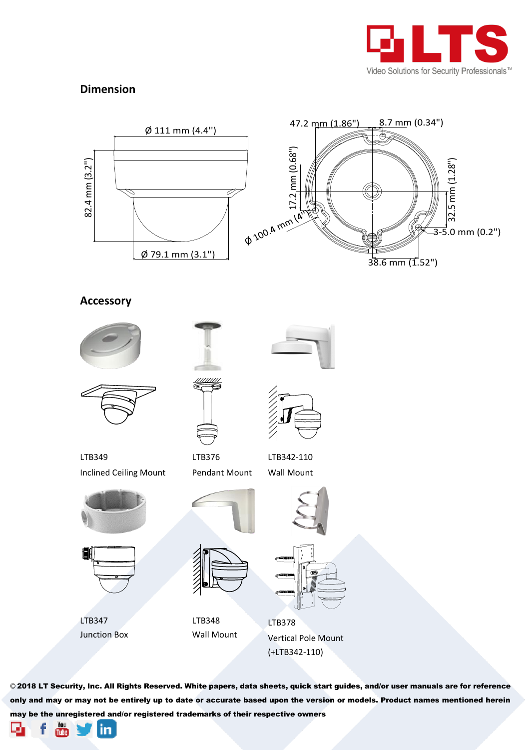

## **Dimension**



**Accessory**





LTB349 Inclined Ceiling Mount





LTB347 Junction Box



LTB376 Pendant Mount



Wall Mount





LTB348 Wall Mount



LTB378 Vertical Pole Mount (+LTB342-110)

© 2018 LT Security, Inc. All Rights Reserved. White papers, data sheets, quick start guides, and/or user manuals are for reference only and may or may not be entirely up to date or accurate based upon the version or models. Product names mentioned herein may be the unregistered and/or registered trademarks of their respective owners